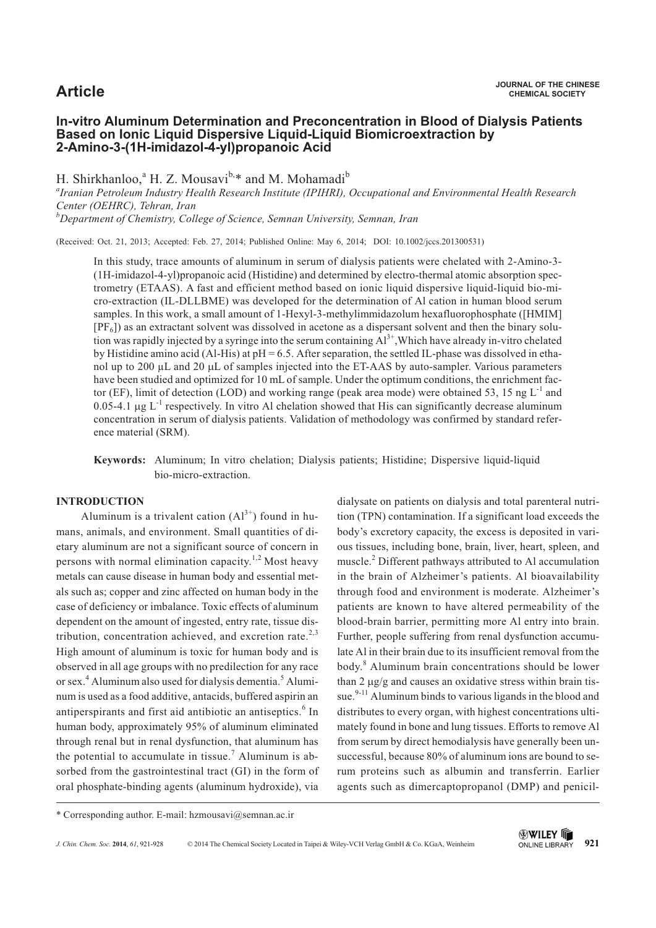# **In-vitro Aluminum Determination and Preconcentration in Blood of Dialysis Patients Based on Ionic Liquid Dispersive Liquid-Liquid Biomicroextraction by 2-Amino-3-(1H-imidazol-4-yl)propanoic Acid**

H. Shirkhanloo,<sup>a</sup> H. Z. Mousavi<sup>b,\*</sup> and M. Mohamadi<sup>b</sup>

*a Iranian Petroleum Industry Health Research Institute (IPIHRI), Occupational and Environmental Health Research Center (OEHRC), Tehran, Iran b Department of Chemistry, College of Science, Semnan University, Semnan, Iran*

(Received: Oct. 21, 2013; Accepted: Feb. 27, 2014; Published Online: May 6, 2014; DOI: 10.1002/jccs.201300531)

In this study, trace amounts of aluminum in serum of dialysis patients were chelated with 2-Amino-3- (1H-imidazol-4-yl)propanoic acid (Histidine) and determined by electro-thermal atomic absorption spectrometry (ETAAS). A fast and efficient method based on ionic liquid dispersive liquid-liquid bio-micro-extraction (IL-DLLBME) was developed for the determination of Al cation in human blood serum samples. In this work, a small amount of 1-Hexyl-3-methylimmidazolum hexafluorophosphate ([HMIM]  $[PF_6]$ ) as an extractant solvent was dissolved in acetone as a dispersant solvent and then the binary solution was rapidly injected by a syringe into the serum containing  $Al^{3+}$ , Which have already in-vitro chelated by Histidine amino acid (Al-His) at pH = 6.5. After separation, the settled IL-phase was dissolved in ethanol up to 200 µL and 20 µL of samples injected into the ET-AAS by auto-sampler. Various parameters have been studied and optimized for 10 mL of sample. Under the optimum conditions, the enrichment factor (EF), limit of detection (LOD) and working range (peak area mode) were obtained 53, 15 ng  $L^{-1}$  and 0.05-4.1  $\mu$ g L<sup>-1</sup> respectively. In vitro Al chelation showed that His can significantly decrease aluminum concentration in serum of dialysis patients. Validation of methodology was confirmed by standard reference material (SRM).

**Keywords:** Aluminum; In vitro chelation; Dialysis patients; Histidine; Dispersive liquid-liquid bio-micro-extraction.

### **INTRODUCTION**

Aluminum is a trivalent cation  $(A<sup>3+</sup>)$  found in humans, animals, and environment. Small quantities of dietary aluminum are not a significant source of concern in persons with normal elimination capacity.<sup>1,2</sup> Most heavy metals can cause disease in human body and essential metals such as; copper and zinc affected on human body in the case of deficiency or imbalance. Toxic effects of aluminum dependent on the amount of ingested, entry rate, tissue distribution, concentration achieved, and excretion rate.<sup>2,3</sup> High amount of aluminum is toxic for human body and is observed in all age groups with no predilection for any race or sex.<sup>4</sup> Aluminum also used for dialysis dementia.<sup>5</sup> Aluminum is used as a food additive, antacids, buffered aspirin an antiperspirants and first aid antibiotic an antiseptics.<sup>6</sup> In human body, approximately 95% of aluminum eliminated through renal but in renal dysfunction, that aluminum has the potential to accumulate in tissue.<sup>7</sup> Aluminum is absorbed from the gastrointestinal tract (GI) in the form of oral phosphate-binding agents (aluminum hydroxide), via

dialysate on patients on dialysis and total parenteral nutrition (TPN) contamination. If a significant load exceeds the body's excretory capacity, the excess is deposited in various tissues, including bone, brain, liver, heart, spleen, and muscle.<sup>2</sup> Different pathways attributed to Al accumulation in the brain of Alzheimer's patients. Al bioavailability through food and environment is moderate. Alzheimer's patients are known to have altered permeability of the blood-brain barrier, permitting more Al entry into brain. Further, people suffering from renal dysfunction accumulate Al in their brain due to its insufficient removal from the body.<sup>8</sup> Aluminum brain concentrations should be lower than 2  $\mu$ g/g and causes an oxidative stress within brain tissue.<sup>9-11</sup> Aluminum binds to various ligands in the blood and distributes to every organ, with highest concentrations ultimately found in bone and lung tissues. Efforts to remove Al from serum by direct hemodialysis have generally been unsuccessful, because 80% of aluminum ions are bound to serum proteins such as albumin and transferrin. Earlier agents such as dimercaptopropanol (DMP) and penicil-

<sup>\*</sup> Corresponding author. E-mail: hzmousavi@semnan.ac.ir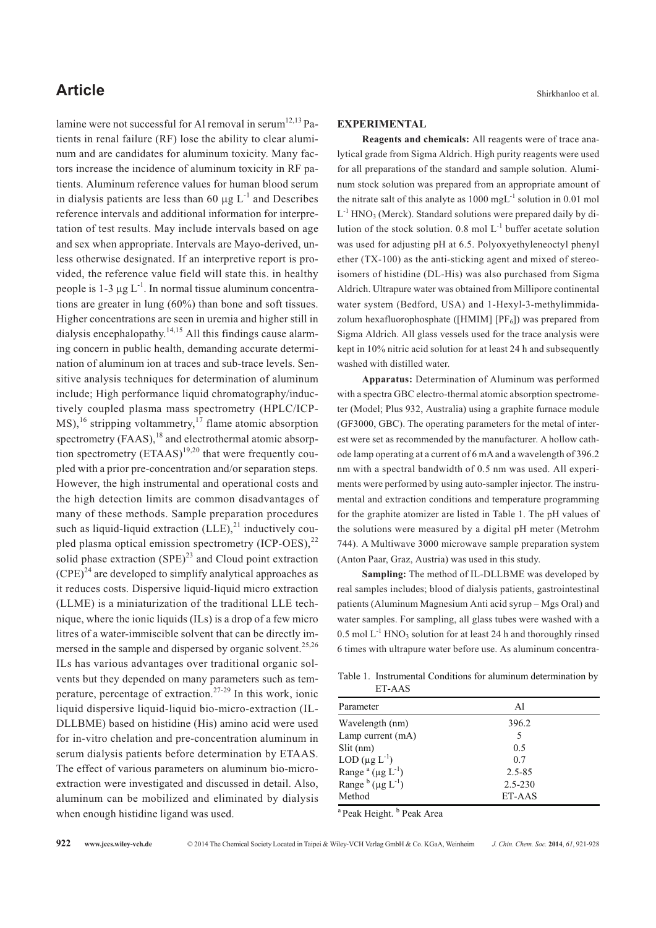lamine were not successful for Al removal in serum<sup>12,13</sup> Patients in renal failure (RF) lose the ability to clear aluminum and are candidates for aluminum toxicity. Many factors increase the incidence of aluminum toxicity in RF patients. Aluminum reference values for human blood serum in dialysis patients are less than 60  $\mu$ g L<sup>-1</sup> and Describes reference intervals and additional information for interpretation of test results. May include intervals based on age and sex when appropriate. Intervals are Mayo-derived, unless otherwise designated. If an interpretive report is provided, the reference value field will state this. in healthy people is 1-3  $\mu$ g L<sup>-1</sup>. In normal tissue aluminum concentrations are greater in lung (60%) than bone and soft tissues. Higher concentrations are seen in uremia and higher still in dialysis encephalopathy.<sup>14,15</sup> All this findings cause alarming concern in public health, demanding accurate determination of aluminum ion at traces and sub-trace levels. Sensitive analysis techniques for determination of aluminum include; High performance liquid chromatography/inductively coupled plasma mass spectrometry (HPLC/ICP- $MS<sub>1</sub><sup>16</sup>$  stripping voltammetry,<sup>17</sup> flame atomic absorption spectrometry  $(FAAS)$ , <sup>18</sup> and electrothermal atomic absorption spectrometry  $(ETAAS)^{19,20}$  that were frequently coupled with a prior pre-concentration and/or separation steps. However, the high instrumental and operational costs and the high detection limits are common disadvantages of many of these methods. Sample preparation procedures such as liquid-liquid extraction  $(LLE)$ ,<sup>21</sup> inductively coupled plasma optical emission spectrometry  $(ICP-OES)$ ,<sup>22</sup> solid phase extraction  $(SPE)^{23}$  and Cloud point extraction  $(CPE)^{24}$  are developed to simplify analytical approaches as it reduces costs. Dispersive liquid-liquid micro extraction (LLME) is a miniaturization of the traditional LLE technique, where the ionic liquids (ILs) is a drop of a few micro litres of a water-immiscible solvent that can be directly immersed in the sample and dispersed by organic solvent.<sup>25,26</sup> ILs has various advantages over traditional organic solvents but they depended on many parameters such as temperature, percentage of extraction.<sup>27-29</sup> In this work, ionic liquid dispersive liquid-liquid bio-micro-extraction (IL-DLLBME) based on histidine (His) amino acid were used for in-vitro chelation and pre-concentration aluminum in serum dialysis patients before determination by ETAAS. The effect of various parameters on aluminum bio-microextraction were investigated and discussed in detail. Also, aluminum can be mobilized and eliminated by dialysis when enough histidine ligand was used.

#### **EXPERIMENTAL**

**Reagents and chemicals:** All reagents were of trace analytical grade from Sigma Aldrich. High purity reagents were used for all preparations of the standard and sample solution. Aluminum stock solution was prepared from an appropriate amount of the nitrate salt of this analyte as  $1000 \text{ mgL}^{-1}$  solution in 0.01 mol  $L^{-1}$  HNO<sub>3</sub> (Merck). Standard solutions were prepared daily by dilution of the stock solution.  $0.8 \text{ mol L}^{-1}$  buffer acetate solution was used for adjusting pH at 6.5. Polyoxyethyleneoctyl phenyl ether (TX-100) as the anti-sticking agent and mixed of stereoisomers of histidine (DL-His) was also purchased from Sigma Aldrich. Ultrapure water was obtained from Millipore continental water system (Bedford, USA) and 1-Hexyl-3-methylimmidazolum hexafluorophosphate ([HMIM] [PF<sub>6</sub>]) was prepared from Sigma Aldrich. All glass vessels used for the trace analysis were kept in 10% nitric acid solution for at least 24 h and subsequently washed with distilled water.

**Apparatus:** Determination of Aluminum was performed with a spectra GBC electro-thermal atomic absorption spectrometer (Model; Plus 932, Australia) using a graphite furnace module (GF3000, GBC). The operating parameters for the metal of interest were set as recommended by the manufacturer. A hollow cathode lamp operating at a current of 6 mA and a wavelength of 396.2 nm with a spectral bandwidth of 0.5 nm was used. All experiments were performed by using auto-sampler injector. The instrumental and extraction conditions and temperature programming for the graphite atomizer are listed in Table 1. The pH values of the solutions were measured by a digital pH meter (Metrohm 744). A Multiwave 3000 microwave sample preparation system (Anton Paar, Graz, Austria) was used in this study.

**Sampling:** The method of IL-DLLBME was developed by real samples includes; blood of dialysis patients, gastrointestinal patients (Aluminum Magnesium Anti acid syrup – Mgs Oral) and water samples. For sampling, all glass tubes were washed with a  $0.5 \text{ mol L}^{-1}$  HNO<sub>3</sub> solution for at least 24 h and thoroughly rinsed 6 times with ultrapure water before use. As aluminum concentra-

Table 1. Instrumental Conditions for aluminum determination by ET-AAS

| Parameter                                         | Al          |  |
|---------------------------------------------------|-------------|--|
| Wavelength (nm)                                   | 396.2       |  |
| Lamp current (mA)                                 | 5           |  |
| $Slit$ (nm)                                       | 0.5         |  |
| LOD $(\mu g L^{-1})$                              | 0.7         |  |
| Range <sup>a</sup> (µg $L^{-1}$ )                 | 2.5-85      |  |
| Range $\frac{b}{\mu}$ ( $\mu$ g L <sup>-1</sup> ) | $2.5 - 230$ |  |
| Method                                            | ET-AAS      |  |
|                                                   |             |  |

<sup>a</sup> Peak Height. <sup>b</sup> Peak Area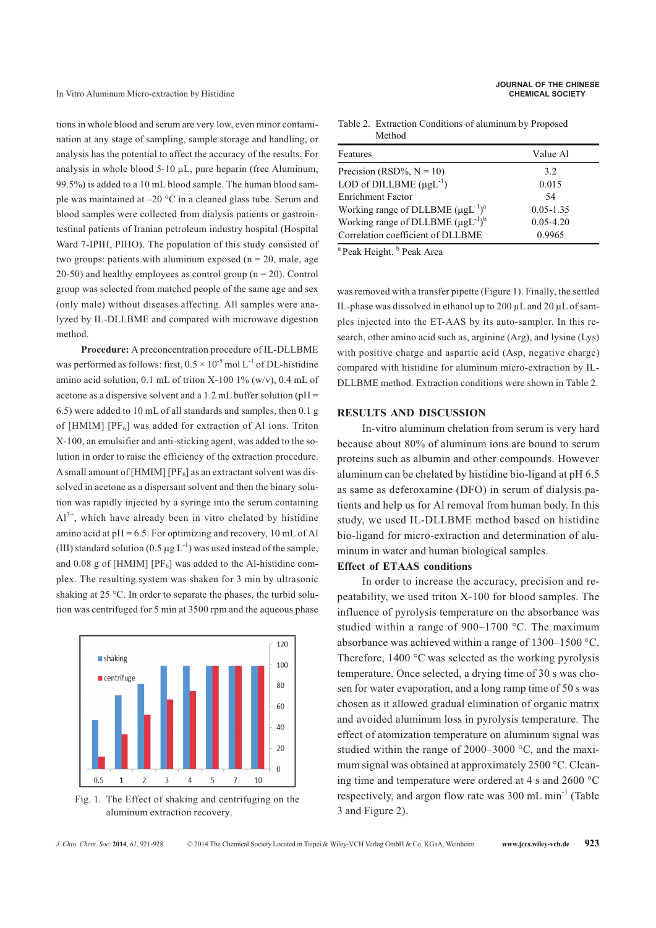tions in whole blood and serum are very low, even minor contamination at any stage of sampling, sample storage and handling, or analysis has the potential to affect the accuracy of the results. For analysis in whole blood  $5-10 \mu L$ , pure heparin (free Aluminum, 99.5%) is added to a 10 mL blood sample. The human blood sample was maintained at –20 °C in a cleaned glass tube. Serum and blood samples were collected from dialysis patients or gastrointestinal patients of Iranian petroleum industry hospital (Hospital Ward 7-IPIH, PIHO). The population of this study consisted of two groups: patients with aluminum exposed ( $n = 20$ , male, age 20-50) and healthy employees as control group ( $n = 20$ ). Control group was selected from matched people of the same age and sex (only male) without diseases affecting. All samples were analyzed by IL-DLLBME and compared with microwave digestion method.

**Procedure:** A preconcentration procedure of IL-DLLBME was performed as follows: first,  $0.5 \times 10^{-5}$  mol L<sup>-1</sup> of DL-histidine amino acid solution,  $0.1$  mL of triton X-100 1% (w/v),  $0.4$  mL of acetone as a dispersive solvent and a 1.2 mL buffer solution ( $pH =$ 6.5) were added to 10 mL of all standards and samples, then 0.1 g of [HMIM]  $[PF_6]$  was added for extraction of Al ions. Triton X-100, an emulsifier and anti-sticking agent, was added to the solution in order to raise the efficiency of the extraction procedure. A small amount of [HMIM] [PF $_6$ ] as an extractant solvent was dissolved in acetone as a dispersant solvent and then the binary solution was rapidly injected by a syringe into the serum containing  $Al^{3+}$ , which have already been in vitro chelated by histidine amino acid at  $pH = 6.5$ . For optimizing and recovery, 10 mL of Al (III) standard solution (0.5  $\mu$ g L<sup>-1</sup>) was used instead of the sample, and 0.08 g of [HMIM] [PF $_6$ ] was added to the Al-histidine complex. The resulting system was shaken for 3 min by ultrasonic shaking at 25 °C. In order to separate the phases, the turbid solution was centrifuged for 5 min at 3500 rpm and the aqueous phase



Fig. 1. The Effect of shaking and centrifuging on the aluminum extraction recovery.

Table 2. Extraction Conditions of aluminum by Proposed Method

| Features                                   | Value Al      |
|--------------------------------------------|---------------|
| Precision (RSD%, $N = 10$ )                | 3.2           |
| LOD of DILLBME $(\mu g L^{-1})$            | 0.015         |
| <b>Enrichment Factor</b>                   | 54            |
| Working range of DLLBME $(\mu g L^{-1})^a$ | $0.05 - 1.35$ |
| Working range of DLLBME $(\mu g L^{-1})^b$ | $0.05 - 4.20$ |
| Correlation coefficient of DLLBME          | 0.9965        |
|                                            |               |

<sup>a</sup> Peak Height. <sup>b</sup> Peak Area

was removed with a transfer pipette (Figure 1). Finally, the settled IL-phase was dissolved in ethanol up to 200  $\mu$ L and 20  $\mu$ L of samples injected into the ET-AAS by its auto-sampler. In this research, other amino acid such as, arginine (Arg), and lysine (Lys) with positive charge and aspartic acid (Asp, negative charge) compared with histidine for aluminum micro-extraction by IL-DLLBME method. Extraction conditions were shown in Table 2.

### **RESULTS AND DISCUSSION**

In-vitro aluminum chelation from serum is very hard because about 80% of aluminum ions are bound to serum proteins such as albumin and other compounds. However aluminum can be chelated by histidine bio-ligand at pH 6.5 as same as deferoxamine (DFO) in serum of dialysis patients and help us for Al removal from human body. In this study, we used IL-DLLBME method based on histidine bio-ligand for micro-extraction and determination of aluminum in water and human biological samples.

### **Effect of ETAAS conditions**

In order to increase the accuracy, precision and repeatability, we used triton X-100 for blood samples. The influence of pyrolysis temperature on the absorbance was studied within a range of 900–1700 °C. The maximum absorbance was achieved within a range of 1300–1500 °C. Therefore, 1400 °C was selected as the working pyrolysis temperature. Once selected, a drying time of 30 s was chosen for water evaporation, and a long ramp time of 50 s was chosen as it allowed gradual elimination of organic matrix and avoided aluminum loss in pyrolysis temperature. The effect of atomization temperature on aluminum signal was studied within the range of 2000–3000 °C, and the maximum signal was obtained at approximately 2500 °C. Cleaning time and temperature were ordered at 4 s and 2600 °C respectively, and argon flow rate was 300 mL min-1 (Table 3 and Figure 2).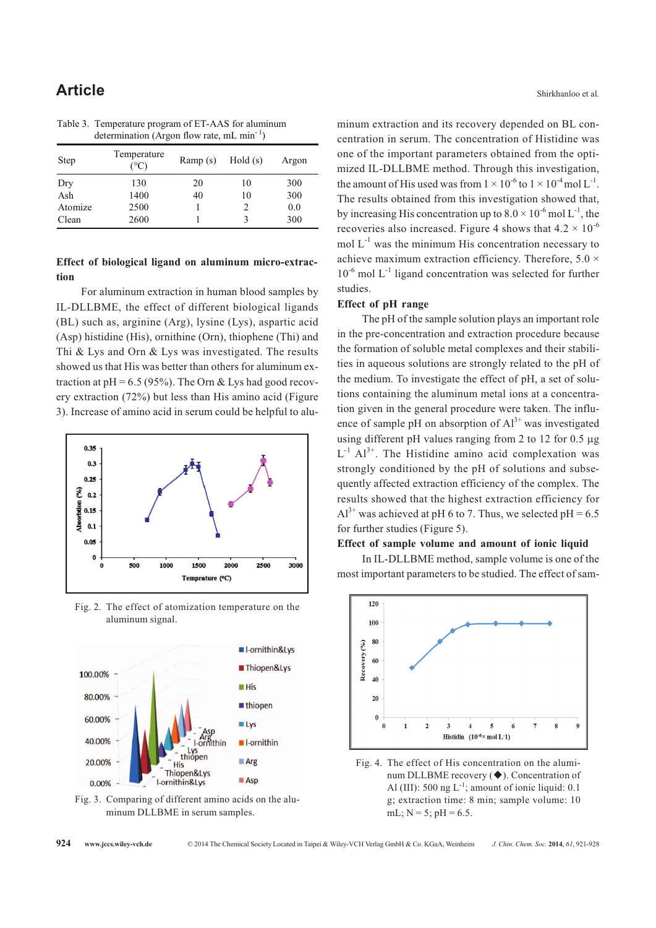| Step    | Temperature<br>$(^\circ C)$ | Ramp(s) | Hold(s) | Argon |
|---------|-----------------------------|---------|---------|-------|
| Dry     | 130                         | 20      | 10      | 300   |
| Ash     | 1400                        | 40      | 10      | 300   |
| Atomize | 2500                        |         | 2       | 0.0   |
| Clean   | 2600                        |         | 3       | 300   |

Table 3. Temperature program of ET-AAS for aluminum determination (Argon flow rate, mL min<sup>-1</sup>)

# **Effect of biological ligand on aluminum micro-extraction**

For aluminum extraction in human blood samples by IL-DLLBME, the effect of different biological ligands (BL) such as, arginine (Arg), lysine (Lys), aspartic acid (Asp) histidine (His), ornithine (Orn), thiophene (Thi) and Thi & Lys and Orn & Lys was investigated. The results showed us that His was better than others for aluminum extraction at  $pH = 6.5$  (95%). The Orn & Lys had good recovery extraction (72%) but less than His amino acid (Figure 3). Increase of amino acid in serum could be helpful to alu-



Fig. 2. The effect of atomization temperature on the aluminum signal.



Fig. 3. Comparing of different amino acids on the aluminum DLLBME in serum samples.

minum extraction and its recovery depended on BL concentration in serum. The concentration of Histidine was one of the important parameters obtained from the optimized IL-DLLBME method. Through this investigation, the amount of His used was from  $1 \times 10^{-6}$  to  $1 \times 10^{-4}$  mol L<sup>-1</sup>. The results obtained from this investigation showed that, by increasing His concentration up to  $8.0 \times 10^{-6}$  mol L<sup>-1</sup>, the recoveries also increased. Figure 4 shows that  $4.2 \times 10^{-6}$ mol  $L^{-1}$  was the minimum His concentration necessary to achieve maximum extraction efficiency. Therefore, 5.0  $\times$  $10^{-6}$  mol L<sup>-1</sup> ligand concentration was selected for further studies.

#### **Effect of pH range**

The pH of the sample solution plays an important role in the pre-concentration and extraction procedure because the formation of soluble metal complexes and their stabilities in aqueous solutions are strongly related to the pH of the medium. To investigate the effect of pH, a set of solutions containing the aluminum metal ions at a concentration given in the general procedure were taken. The influence of sample pH on absorption of  $Al<sup>3+</sup>$  was investigated using different pH values ranging from 2 to 12 for  $0.5 \mu g$  $L^{-1}$  Al<sup>3+</sup>. The Histidine amino acid complexation was strongly conditioned by the pH of solutions and subsequently affected extraction efficiency of the complex. The results showed that the highest extraction efficiency for  $Al^{3+}$  was achieved at pH 6 to 7. Thus, we selected pH = 6.5 for further studies (Figure 5).

### **Effect of sample volume and amount of ionic liquid**

In IL-DLLBME method, sample volume is one of the most important parameters to be studied. The effect of sam-



Fig. 4. The effect of His concentration on the aluminum DLLBME recovery (♦). Concentration of Al (III): 500 ng  $L^{-1}$ ; amount of ionic liquid: 0.1 g; extraction time: 8 min; sample volume: 10 mL;  $N = 5$ ;  $pH = 6.5$ .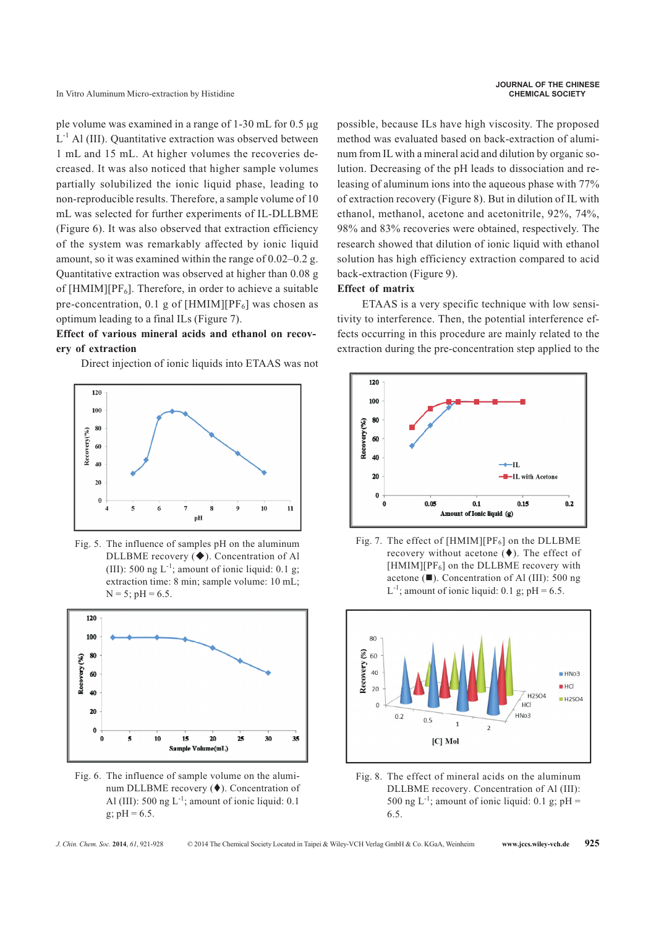In Vitro Aluminum Micro-extraction by Histidine **CHEMICAL SOCIETY**

ple volume was examined in a range of  $1-30$  mL for  $0.5 \mu$ g  $L^{-1}$  Al (III). Quantitative extraction was observed between 1 mL and 15 mL. At higher volumes the recoveries decreased. It was also noticed that higher sample volumes partially solubilized the ionic liquid phase, leading to non-reproducible results. Therefore, a sample volume of 10 mL was selected for further experiments of IL-DLLBME (Figure 6). It was also observed that extraction efficiency of the system was remarkably affected by ionic liquid amount, so it was examined within the range of 0.02–0.2 g. Quantitative extraction was observed at higher than 0.08 g of  $[HMIN][PF_6]$ . Therefore, in order to achieve a suitable pre-concentration, 0.1 g of [HMIM][ $PF_6$ ] was chosen as optimum leading to a final ILs (Figure 7).

# **Effect of various mineral acids and ethanol on recovery of extraction**

Direct injection of ionic liquids into ETAAS was not



Fig. 5. The influence of samples pH on the aluminum DLLBME recovery ( $\blacklozenge$ ). Concentration of Al (III): 500 ng  $L^{-1}$ ; amount of ionic liquid: 0.1 g; extraction time: 8 min; sample volume: 10 mL;  $N = 5$ ;  $pH = 6.5$ .



Fig. 6. The influence of sample volume on the aluminum DLLBME recovery  $(\blacklozenge)$ . Concentration of Al (III): 500 ng  $L^{-1}$ ; amount of ionic liquid: 0.1 g;  $pH = 6.5$ .

possible, because ILs have high viscosity. The proposed method was evaluated based on back-extraction of aluminum from IL with a mineral acid and dilution by organic solution. Decreasing of the pH leads to dissociation and releasing of aluminum ions into the aqueous phase with 77% of extraction recovery (Figure 8). But in dilution of IL with ethanol, methanol, acetone and acetonitrile, 92%, 74%, 98% and 83% recoveries were obtained, respectively. The research showed that dilution of ionic liquid with ethanol solution has high efficiency extraction compared to acid back-extraction (Figure 9).

# **Effect of matrix**

ETAAS is a very specific technique with low sensitivity to interference. Then, the potential interference effects occurring in this procedure are mainly related to the extraction during the pre-concentration step applied to the



Fig. 7. The effect of  $[HMM][PF_6]$  on the DLLBME recovery without acetone  $(\blacklozenge)$ . The effect of  $[HMIN][PF_6]$  on the DLLBME recovery with acetone  $(\blacksquare)$ . Concentration of Al (III): 500 ng  $L^{-1}$ ; amount of ionic liquid: 0.1 g; pH = 6.5.



Fig. 8. The effect of mineral acids on the aluminum DLLBME recovery. Concentration of Al (III): 500 ng L<sup>-1</sup>; amount of ionic liquid: 0.1 g; pH = 6.5.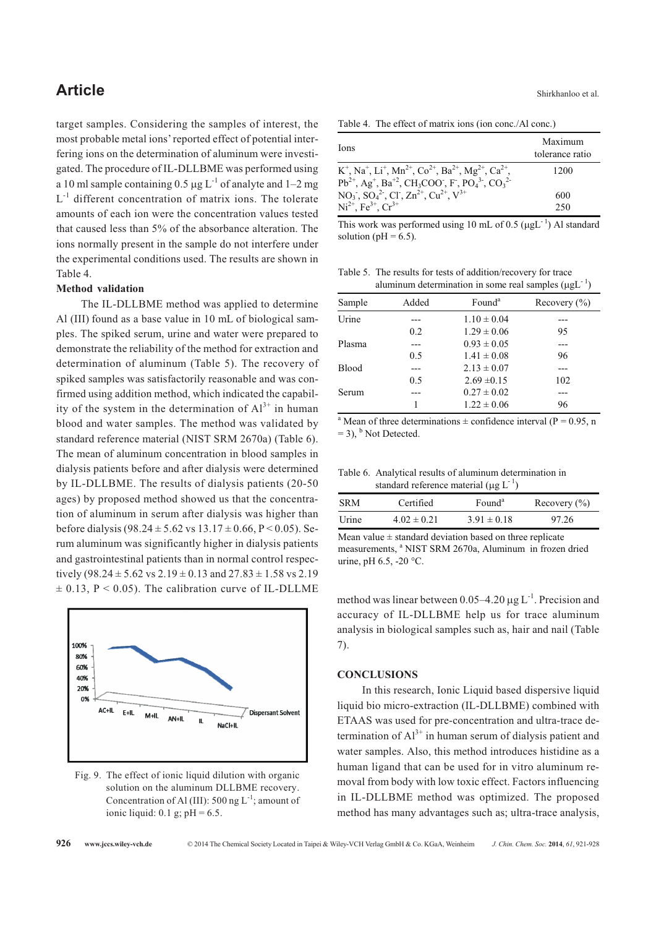target samples. Considering the samples of interest, the most probable metal ions' reported effect of potential interfering ions on the determination of aluminum were investigated. The procedure of IL-DLLBME was performed using a 10 ml sample containing 0.5  $\mu$ g L<sup>-1</sup> of analyte and 1–2 mg  $L^{-1}$  different concentration of matrix ions. The tolerate amounts of each ion were the concentration values tested that caused less than 5% of the absorbance alteration. The ions normally present in the sample do not interfere under the experimental conditions used. The results are shown in Table 4.

# **Method validation**

The IL-DLLBME method was applied to determine Al (III) found as a base value in 10 mL of biological samples. The spiked serum, urine and water were prepared to demonstrate the reliability of the method for extraction and determination of aluminum (Table 5). The recovery of spiked samples was satisfactorily reasonable and was confirmed using addition method, which indicated the capability of the system in the determination of  $Al^{3+}$  in human blood and water samples. The method was validated by standard reference material (NIST SRM 2670a) (Table 6). The mean of aluminum concentration in blood samples in dialysis patients before and after dialysis were determined by IL-DLLBME. The results of dialysis patients (20-50 ages) by proposed method showed us that the concentration of aluminum in serum after dialysis was higher than before dialysis (98.24  $\pm$  5.62 vs 13.17  $\pm$  0.66, P < 0.05). Serum aluminum was significantly higher in dialysis patients and gastrointestinal patients than in normal control respectively (98.24  $\pm$  5.62 vs 2.19  $\pm$  0.13 and 27.83  $\pm$  1.58 vs 2.19  $\pm$  0.13, P < 0.05). The calibration curve of IL-DLLME



Fig. 9. The effect of ionic liquid dilution with organic solution on the aluminum DLLBME recovery. Concentration of Al (III): 500 ng  $L^{-1}$ ; amount of ionic liquid:  $0.1$  g;  $pH = 6.5$ .

| Ions                                                                                                                                                                                                                                                                               | Maximum<br>tolerance ratio |
|------------------------------------------------------------------------------------------------------------------------------------------------------------------------------------------------------------------------------------------------------------------------------------|----------------------------|
| $K^+$ , Na <sup>+</sup> , Li <sup>+</sup> , Mn <sup>2+</sup> , Co <sup>2+</sup> , Ba <sup>2+</sup> , Mg <sup>2+</sup> , Ca <sup>2+</sup> ,<br>$Pb^{2+}$ , Ag <sup>+</sup> , Ba <sup>+2</sup> , CH <sub>3</sub> COO, F, PO <sub>4</sub> <sup>3</sup> , CO <sub>3</sub> <sup>2</sup> | 1200                       |
| $NO_3$ , $SO_4^2$ , Cl, $Zn^{2+}$ , $Cu^{2+}$ , $V^{3+}$                                                                                                                                                                                                                           | 600                        |
| $Ni^{2+}$ , Fe <sup>3+</sup> , Cr <sup>3+</sup>                                                                                                                                                                                                                                    | 250                        |

This work was performed using 10 mL of 0.5 ( $\mu gL^{-1}$ ) Al standard solution ( $pH = 6.5$ ).

Table 5. The results for tests of addition/recovery for trace aluminum determination in some real samples  $(\mu g L^{-1})$ 

| Sample       | Added | Found <sup>a</sup> | Recovery $(\% )$ |
|--------------|-------|--------------------|------------------|
| Urine        |       | $1.10 \pm 0.04$    |                  |
|              | 0.2   | $1.29 \pm 0.06$    | 95               |
| Plasma       |       | $0.93 \pm 0.05$    |                  |
|              | 0.5   | $1.41 \pm 0.08$    | 96               |
| <b>Blood</b> |       | $2.13 \pm 0.07$    |                  |
|              | 0.5   | $2.69 \pm 0.15$    | 102              |
| Serum        |       | $0.27 \pm 0.02$    |                  |
|              |       | $1.22 \pm 0.06$    | 96               |

<sup>a</sup> Mean of three determinations  $\pm$  confidence interval (P = 0.95, n)  $= 3$ ),  $<sup>b</sup>$  Not Detected.</sup>

Table 6. Analytical results of aluminum determination in standard reference material ( $\mu$ g L<sup>-1</sup>)

| <b>SRM</b> | Certified       | Found <sup>a</sup> | Recovery $(\% )$ |
|------------|-----------------|--------------------|------------------|
| Urine      | $4.02 \pm 0.21$ | $3.91 \pm 0.18$    | 97.26            |

Mean value  $\pm$  standard deviation based on three replicate measurements, <sup>a</sup> NIST SRM 2670a, Aluminum in frozen dried urine, pH  $6.5$ , -20 °C.

method was linear between 0.05–4.20  $\mu$ g L<sup>-1</sup>. Precision and accuracy of IL-DLLBME help us for trace aluminum analysis in biological samples such as, hair and nail (Table 7).

### **CONCLUSIONS**

In this research, Ionic Liquid based dispersive liquid liquid bio micro-extraction (IL-DLLBME) combined with ETAAS was used for pre-concentration and ultra-trace determination of  $Al^{3+}$  in human serum of dialysis patient and water samples. Also, this method introduces histidine as a human ligand that can be used for in vitro aluminum removal from body with low toxic effect. Factors influencing in IL-DLLBME method was optimized. The proposed method has many advantages such as; ultra-trace analysis,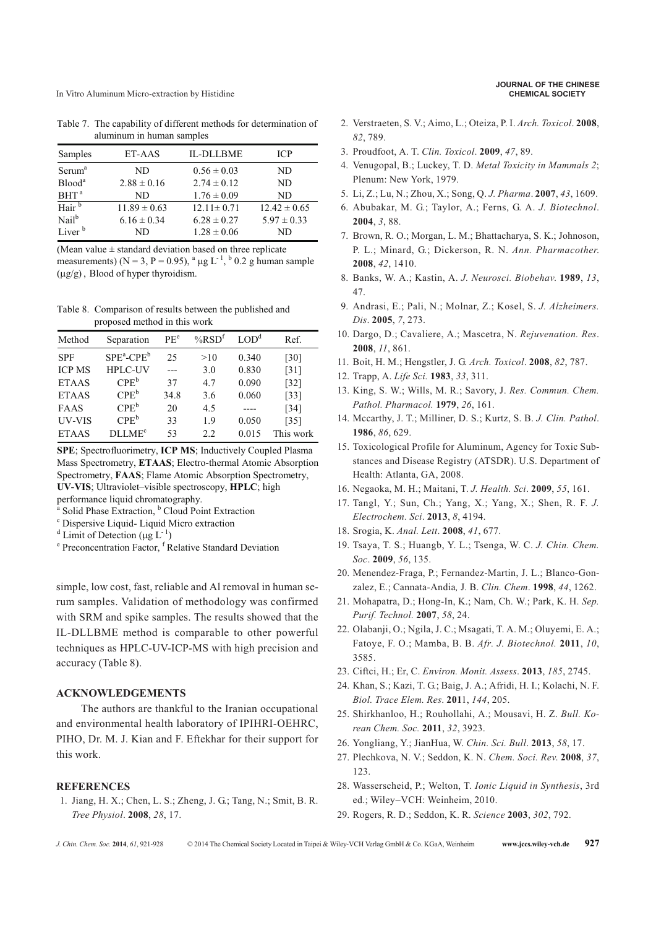In Vitro Aluminum Micro-extraction by Histidine **CHEMICAL SOCIETY**

Table 7. The capability of different methods for determination of aluminum in human samples

| Samples            | ET-AAS           | <b>IL-DLLBME</b> | <b>ICP</b>       |
|--------------------|------------------|------------------|------------------|
| Serum <sup>a</sup> | ND               | $0.56 \pm 0.03$  | ND               |
| Blood <sup>a</sup> | $2.88 \pm 0.16$  | $2.74 \pm 0.12$  | ND               |
| $BHT^a$            | ND               | $1.76 \pm 0.09$  | ND               |
| Hair <sup>b</sup>  | $11.89 \pm 0.63$ | $12.11 \pm 0.71$ | $12.42 \pm 0.65$ |
| Nail <sup>b</sup>  | $6.16 \pm 0.34$  | $6.28 \pm 0.27$  | $5.97 \pm 0.33$  |
| Liver <sup>b</sup> | ND               | $1.28 \pm 0.06$  | ND               |

(Mean value  $\pm$  standard deviation based on three replicate measurements) ( $N = 3$ ,  $P = 0.95$ ),  $\binom{a}{1}$   $\lfloor \frac{b}{2} \rfloor$   $\lfloor 0.2 \rfloor$  g human sample  $(\mu g/g)$ , Blood of hyper thyroidism.

Table 8. Comparison of results between the published and proposed method in this work

| Method        | Separation                | PE <sup>e</sup> | $%$ RSD <sup>t</sup> | LOD <sup>d</sup> | Ref.               |
|---------------|---------------------------|-----------------|----------------------|------------------|--------------------|
| <b>SPF</b>    | $SPE^a$ -CPE <sup>b</sup> | 25              | >10                  | 0.340            | [30]               |
| <b>ICP MS</b> | <b>HPLC-UV</b>            |                 | 3.0                  | 0.830            | $\lceil 31 \rceil$ |
| <b>ETAAS</b>  | $CPE^b$                   | 37              | 4.7                  | 0.090            | $[32]$             |
| <b>ETAAS</b>  | $CPE^b$                   | 34.8            | 3.6                  | 0.060            | $[33]$             |
| FAAS          | $CPE^b$                   | 20              | 4.5                  | ----             | $[34]$             |
| UV-VIS        | $CPE^b$                   | 33              | 1.9                  | 0.050            | $\lceil 35 \rceil$ |
| <b>ETAAS</b>  | <b>DLLME<sup>c</sup></b>  | 53              | 2.2.                 | 0.015            | This work          |

**SPE**; Spectrofluorimetry, **ICP MS**; Inductively Coupled Plasma Mass Spectrometry, **ETAAS**; Electro-thermal Atomic Absorption Spectrometry, **FAAS**; Flame Atomic Absorption Spectrometry, **UV-VIS**; Ultraviolet–visible spectroscopy, **HPLC**; high performance liquid chromatography.

<sup>b</sup> Cloud Point Extraction, <sup>b</sup> Cloud Point Extraction

<sup>c</sup> Dispersive Liquid- Liquid Micro extraction

<sup>d</sup> Limit of Detection (µg  $L^{-1}$ )

<sup>e</sup> Preconcentration Factor, <sup>f</sup> Relative Standard Deviation

simple, low cost, fast, reliable and Al removal in human serum samples. Validation of methodology was confirmed with SRM and spike samples. The results showed that the IL-DLLBME method is comparable to other powerful techniques as HPLC-UV-ICP-MS with high precision and accuracy (Table 8).

# **ACKNOWLEDGEMENTS**

The authors are thankful to the Iranian occupational and environmental health laboratory of IPIHRI-OEHRC, PIHO, Dr. M. J. Kian and F. Eftekhar for their support for this work.

#### **REFERENCES**

1. Jiang, H. X.; Chen, L. S.; Zheng, J. G.; Tang, N.; Smit, B. R. *Tree Physiol*. **2008**, *28*, 17.

- 2. Verstraeten, S. V.; Aimo, L.; Oteiza, P. I. *Arch. Toxicol*. **2008**, *82*, 789.
- 3. Proudfoot, A. T. *Clin. Toxicol*. **2009**, *47*, 89.
- 4. Venugopal, B.; Luckey, T. D. *Metal Toxicity in Mammals 2*; Plenum: New York, 1979.
- 5. Li, Z.; Lu, N.; Zhou, X.; Song, Q. *J. Pharma*. **2007**, *43*, 1609.
- 6. Abubakar, M. G.; Taylor, A.; Ferns, G. A. *J. Biotechnol*. **2004**, *3*, 88.
- 7. Brown, R. O.; Morgan, L. M.; Bhattacharya, S. K.; Johnoson, P. L.; Minard, G.; Dickerson, R. N. *Ann. Pharmacother*. **2008**, *42*, 1410.
- 8. Banks, W. A.; Kastin, A. *J. Neurosci. Biobehav*. **1989**, *13*, 47.
- 9. Andrasi, E.; Pali, N.; Molnar, Z.; Kosel, S. *J. Alzheimers. Dis*. **2005**, *7*, 273.
- 10. Dargo, D.; Cavaliere, A.; Mascetra, N. *Rejuvenation. Res*. **2008**, *11*, 861.
- 11. Boit, H. M.; Hengstler, J. G. *Arch. Toxicol*. **2008**, *82*, 787.
- 12. Trapp, A. *Life Sci.* **1983**, *33*, 311.
- 13. King, S. W.; Wills, M. R.; Savory, J. *Res. Commun. Chem. Pathol. Pharmacol.* **1979**, *26*, 161.
- 14. Mccarthy, J. T.; Milliner, D. S.; Kurtz, S. B. *J. Clin. Pathol*. **1986**, *86*, 629.
- 15. Toxicological Profile for Aluminum, Agency for Toxic Substances and Disease Registry (ATSDR). U.S. Department of Health: Atlanta, GA, 2008.
- 16. Negaoka, M. H.; Maitani, T. *J. Health. Sci*. **2009**, *55*, 161.
- 17. Tangl, Y.; Sun, Ch.; Yang, X.; Yang, X.; Shen, R. F. *J. Electrochem. Sci*. **2013**, *8*, 4194.
- 18. Srogia, K. *Anal. Lett*. **2008**, *41*, 677.
- 19. Tsaya, T. S.; Huangb, Y. L.; Tsenga, W. C. *J. Chin. Chem. Soc*. **2009**, *56*, 135.
- 20. Menendez-Fraga, P.; Fernandez-Martin, J. L.; Blanco-Gonzalez, E.; Cannata-Andia*,* J*.* B. *Clin. Chem*. **1998**, *44*, 1262.
- 21. Mohapatra, D.; Hong-In, K.; Nam, Ch. W.; Park, K. H. *Sep. Purif. Technol.* **2007**, *58*, 24.
- 22. Olabanji, O.; Ngila, J. C.; Msagati, T. A. M.; Oluyemi, E. A.; Fatoye, F. O.; Mamba, B. B. *Afr. J. Biotechnol.* **2011**, *10*, 3585.
- 23. Ciftci, H.; Er, C. *Environ. Monit. Assess*. **2013**, *185*, 2745.
- 24. Khan, S.; Kazi, T. G.; Baig, J. A.; Afridi, H. I.; Kolachi, N. F. *Biol. Trace Elem. Res*. **201**1, *144*, 205.
- 25. Shirkhanloo, H.; Rouhollahi, A.; Mousavi, H. Z. *Bull. Korean Chem. Soc.* **2011**, *32*, 3923.
- 26. Yongliang, Y.; JianHua, W. *Chin. Sci. Bull*. **2013**, *58*, 17.
- 27. Plechkova, N. V.; Seddon, K. N. *Chem. Soci. Rev*. **2008**, *37*, 123.
- 28. Wasserscheid, P.; Welton, T. *Ionic Liquid in Synthesis*, 3rd ed.; Wiley-VCH: Weinheim, 2010.
- 29. Rogers, R. D.; Seddon, K. R. *Science* **2003**, *302*, 792.